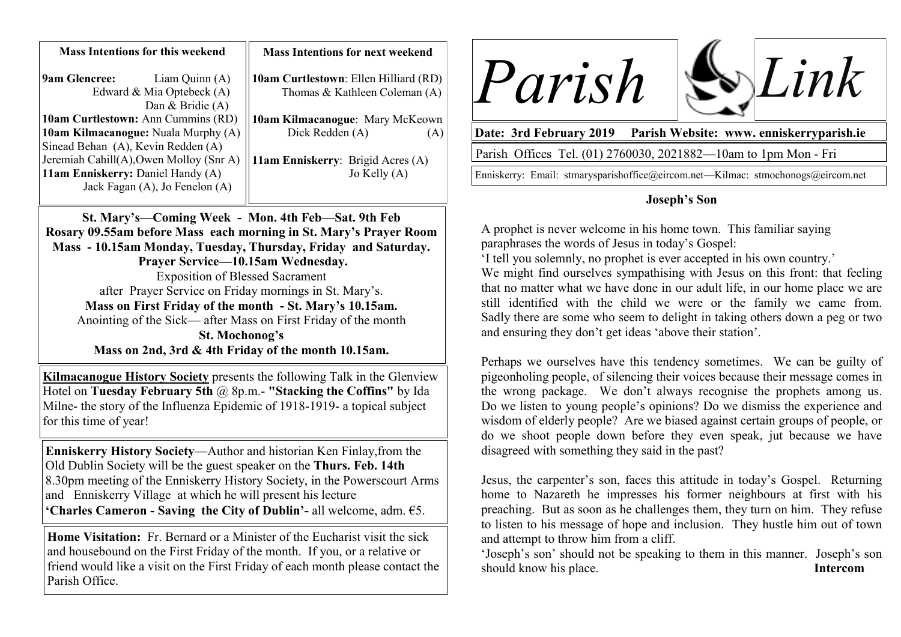| <b>Mass Intentions for this weekend</b> |                  | <b>Mass Intentions for next weekend</b> |
|-----------------------------------------|------------------|-----------------------------------------|
| <b>9am Glencree:</b>                    | Liam Quinn $(A)$ | 10am Curtlestown: Ellen Hilliard (RD)   |
| Edward & Mia Optebeck (A)               |                  | Thomas & Kathleen Coleman (A)           |
|                                         | Dan & Bridie (A) |                                         |
| 10am Curtlestown: Ann Cummins (RD)      |                  | 10am Kilmacanogue: Mary McKeown         |
| 10am Kilmacanogue: Nuala Murphy (A)     |                  | Dick Redden (A)<br>[A]                  |
| Sinead Behan (A), Kevin Redden (A)      |                  |                                         |
| Jeremiah Cahill(A), Owen Molloy (Snr A) |                  | 11am Enniskerry: Brigid Acres (A)       |
| 11am Enniskerry: Daniel Handy (A)       |                  | Jo Kelly $(A)$                          |
| Jack Fagan (A), Jo Fenelon (A)          |                  |                                         |
|                                         |                  |                                         |

**St. Mary's—Coming Week - Mon. 4th Feb—Sat. 9th Feb Rosary 09.55am before Mass each morning in St. Mary's Prayer Room Mass - 10.15am Monday, Tuesday, Thursday, Friday and Saturday. Prayer Service—10.15am Wednesday.**  Exposition of Blessed Sacrament after Prayer Service on Friday mornings in St. Mary's. **Mass on First Friday of the month - St. Mary's 10.15am.** Anointing of the Sick— after Mass on First Friday of the month **St. Mochonog's Mass on 2nd, 3rd & 4th Friday of the month 10.15am.**

**Kilmacanogue History Society** presents the following Talk in the Glenview Hotel on **Tuesday February 5th** @ 8p.m.- **"Stacking the Coffins"** by Ida Milne- the story of the Influenza Epidemic of 1918-1919- a topical subject for this time of year!

**Enniskerry History Society**—Author and historian Ken Finlay,from the Old Dublin Society will be the guest speaker on the **Thurs. Feb. 14th**  8.30pm meeting of the Enniskerry History Society, in the Powerscourt Arms and Enniskerry Village at which he will present his lecture **'Charles Cameron - Saving the City of Dublin'-** all welcome, adm. €5.

**Home Visitation:** Fr. Bernard or a Minister of the Eucharist visit the sick and housebound on the First Friday of the month. If you, or a relative or friend would like a visit on the First Friday of each month please contact the Parish Office.





**Date: 3rd February 2019 Parish Website: www. enniskerryparish.ie**

Parish Offices Tel. (01) 2760030, 2021882—10am to 1pm Mon - Fri

Enniskerry: Email: stmarysparishoffice@eircom.net—Kilmac: stmochonogs@eircom.net

## **Joseph's Son**

A prophet is never welcome in his home town. This familiar saying paraphrases the words of Jesus in today's Gospel:

'I tell you solemnly, no prophet is ever accepted in his own country.'

We might find ourselves sympathising with Jesus on this front: that feeling that no matter what we have done in our adult life, in our home place we are still identified with the child we were or the family we came from. Sadly there are some who seem to delight in taking others down a peg or two and ensuring they don't get ideas 'above their station'.

Perhaps we ourselves have this tendency sometimes. We can be guilty of pigeonholing people, of silencing their voices because their message comes in the wrong package. We don't always recognise the prophets among us. Do we listen to young people's opinions? Do we dismiss the experience and wisdom of elderly people? Are we biased against certain groups of people, or do we shoot people down before they even speak, jut because we have disagreed with something they said in the past?

Jesus, the carpenter's son, faces this attitude in today's Gospel. Returning home to Nazareth he impresses his former neighbours at first with his preaching. But as soon as he challenges them, they turn on him. They refuse to listen to his message of hope and inclusion. They hustle him out of town and attempt to throw him from a cliff.

'Joseph's son' should not be speaking to them in this manner. Joseph's son should know his place. **Intercom**